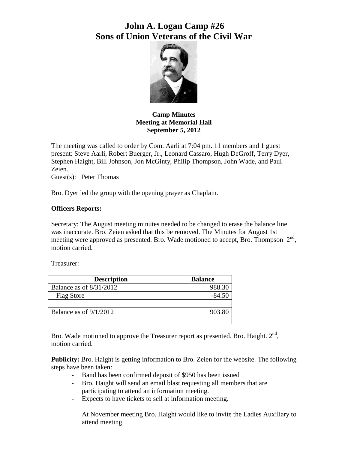# **John A. Logan Camp #26 Sons of Union Veterans of the Civil War**



**Camp Minutes Meeting at Memorial Hall September 5, 2012**

The meeting was called to order by Com. Aarli at 7:04 pm. 11 members and 1 guest present: Steve Aarli, Robert Buerger, Jr., Leonard Cassaro, Hugh DeGroff, Terry Dyer, Stephen Haight, Bill Johnson, Jon McGinty, Philip Thompson, John Wade, and Paul Zeien.

Guest(s): Peter Thomas

Bro. Dyer led the group with the opening prayer as Chaplain.

#### **Officers Reports:**

Secretary: The August meeting minutes needed to be changed to erase the balance line was inaccurate. Bro. Zeien asked that this be removed. The Minutes for August 1st meeting were approved as presented. Bro. Wade motioned to accept, Bro. Thompson  $2<sup>nd</sup>$ , motion carried.

Treasurer:

| <b>Description</b>        | <b>Balance</b> |
|---------------------------|----------------|
| Balance as of $8/31/2012$ | 988.30         |
| <b>Flag Store</b>         | $-84.50$       |
|                           |                |
| Balance as of $9/1/2012$  | 903.80         |
|                           |                |

Bro. Wade motioned to approve the Treasurer report as presented. Bro. Haight.  $2<sup>nd</sup>$ , motion carried.

**Publicity:** Bro. Haight is getting information to Bro. Zeien for the website. The following steps have been taken:

- Band has been confirmed deposit of \$950 has been issued
- Bro. Haight will send an email blast requesting all members that are participating to attend an information meeting.
- Expects to have tickets to sell at information meeting.

At November meeting Bro. Haight would like to invite the Ladies Auxiliary to attend meeting.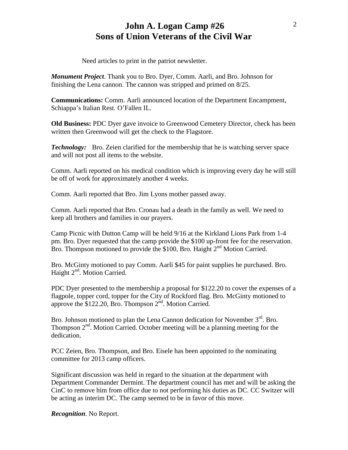## **John A. Logan Camp #26 Sons of Union Veterans of the Civil War**

Need articles to print in the patriot newsletter.

*Monument Project*. Thank you to Bro. Dyer, Comm. Aarli, and Bro. Johnson for finishing the Lena cannon. The cannon was stripped and primed on 8/25.

**Communications:** Comm. Aarli announced location of the Department Encampment, Schiappa's Italian Rest. O'Fallen IL.

**Old Business:** PDC Dyer gave invoice to Greenwood Cemetery Director, check has been written then Greenwood will get the check to the Flagstore.

*Technology:* Bro. Zeien clarified for the membership that he is watching server space and will not post all items to the website.

Comm. Aarli reported on his medical condition which is improving every day he will still be off of work for approximately another 4 weeks.

Comm. Aarli reported that Bro. Jim Lyons mother passed away.

Comm. Aarli reported that Bro. Cronau had a death in the family as well. We need to keep all brothers and families in our prayers.

Camp Picnic with Dutton Camp will be held 9/16 at the Kirkland Lions Park from 1-4 pm. Bro. Dyer requested that the camp provide the \$100 up-front fee for the reservation. Bro. Thompson motioned to provide the \$100, Bro. Haight  $2<sup>nd</sup>$  Motion Carried.

Bro. McGinty motioned to pay Comm. Aarli \$45 for paint supplies he purchased. Bro. Haight 2<sup>nd</sup>. Motion Carried.

PDC Dyer presented to the membership a proposal for \$122.20 to cover the expenses of a flagpole, topper cord, topper for the City of Rockford flag. Bro. McGinty motioned to approve the \$122.20, Bro. Thompson 2<sup>nd</sup>. Motion Carried.

Bro. Johnson motioned to plan the Lena Cannon dedication for November  $3<sup>rd</sup>$ . Bro. Thompson  $2<sup>nd</sup>$ . Motion Carried. October meeting will be a planning meeting for the dedication.

PCC Zeien, Bro. Thompson, and Bro. Eisele has been appointed to the nominating committee for 2013 camp officers.

Significant discussion was held in regard to the situation at the department with Department Commander Dermint. The department council has met and will be asking the CinC to remove him from office due to not performing his duties as DC. CC Switzer will be acting as interim DC. The camp seemed to be in favor of this move.

*Recognition*. No Report.